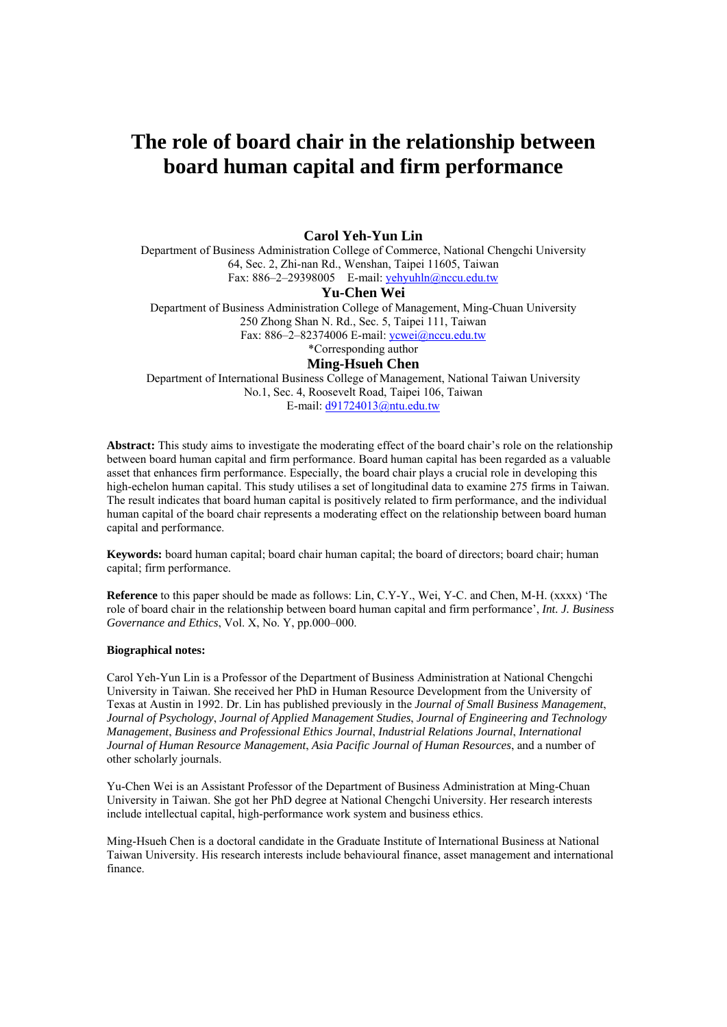# **The role of board chair in the relationship between board human capital and firm performance**

# **Carol Yeh-Yun Lin**

Department of Business Administration College of Commerce, National Chengchi University 64, Sec. 2, Zhi-nan Rd., Wenshan, Taipei 11605, Taiwan Fax: 886–2–29398005 E-mail: yehyuhln@nccu.edu.tw

#### **Yu-Chen Wei**

Department of Business Administration College of Management, Ming-Chuan University 250 Zhong Shan N. Rd., Sec. 5, Taipei 111, Taiwan Fax: 886–2–82374006 E-mail: ycwei@nccu.edu.tw \*Corresponding author

#### **Ming-Hsueh Chen**

Department of International Business College of Management, National Taiwan University No.1, Sec. 4, Roosevelt Road, Taipei 106, Taiwan E-mail: d91724013@ntu.edu.tw

**Abstract:** This study aims to investigate the moderating effect of the board chair's role on the relationship between board human capital and firm performance. Board human capital has been regarded as a valuable asset that enhances firm performance. Especially, the board chair plays a crucial role in developing this high-echelon human capital. This study utilises a set of longitudinal data to examine 275 firms in Taiwan. The result indicates that board human capital is positively related to firm performance, and the individual human capital of the board chair represents a moderating effect on the relationship between board human capital and performance.

**Keywords:** board human capital; board chair human capital; the board of directors; board chair; human capital; firm performance.

**Reference** to this paper should be made as follows: Lin, C.Y-Y., Wei, Y-C. and Chen, M-H. (xxxx) 'The role of board chair in the relationship between board human capital and firm performance', *Int. J. Business Governance and Ethics*, Vol. X, No. Y, pp.000–000.

#### **Biographical notes:**

Carol Yeh-Yun Lin is a Professor of the Department of Business Administration at National Chengchi University in Taiwan. She received her PhD in Human Resource Development from the University of Texas at Austin in 1992. Dr. Lin has published previously in the *Journal of Small Business Management*, *Journal of Psychology*, *Journal of Applied Management Studies*, *Journal of Engineering and Technology Management*, *Business and Professional Ethics Journal*, *Industrial Relations Journal*, *International Journal of Human Resource Management*, *Asia Pacific Journal of Human Resources*, and a number of other scholarly journals.

Yu-Chen Wei is an Assistant Professor of the Department of Business Administration at Ming-Chuan University in Taiwan. She got her PhD degree at National Chengchi University. Her research interests include intellectual capital, high-performance work system and business ethics.

Ming-Hsueh Chen is a doctoral candidate in the Graduate Institute of International Business at National Taiwan University. His research interests include behavioural finance, asset management and international finance.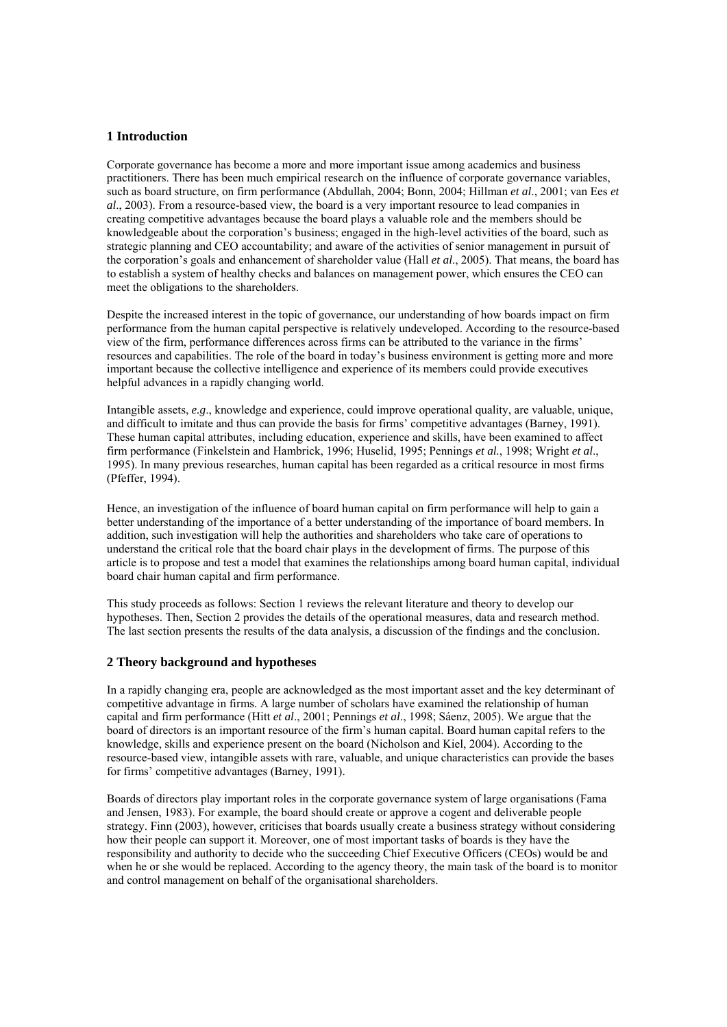## **1 Introduction**

Corporate governance has become a more and more important issue among academics and business practitioners. There has been much empirical research on the influence of corporate governance variables, such as board structure, on firm performance (Abdullah, 2004; Bonn, 2004; Hillman *et al*., 2001; van Ees *et al*., 2003). From a resource-based view, the board is a very important resource to lead companies in creating competitive advantages because the board plays a valuable role and the members should be knowledgeable about the corporation's business; engaged in the high-level activities of the board, such as strategic planning and CEO accountability; and aware of the activities of senior management in pursuit of the corporation's goals and enhancement of shareholder value (Hall *et al*., 2005). That means, the board has to establish a system of healthy checks and balances on management power, which ensures the CEO can meet the obligations to the shareholders.

Despite the increased interest in the topic of governance, our understanding of how boards impact on firm performance from the human capital perspective is relatively undeveloped. According to the resource-based view of the firm, performance differences across firms can be attributed to the variance in the firms' resources and capabilities. The role of the board in today's business environment is getting more and more important because the collective intelligence and experience of its members could provide executives helpful advances in a rapidly changing world.

Intangible assets, *e.g*., knowledge and experience, could improve operational quality, are valuable, unique, and difficult to imitate and thus can provide the basis for firms' competitive advantages (Barney, 1991). These human capital attributes, including education, experience and skills, have been examined to affect firm performance (Finkelstein and Hambrick, 1996; Huselid, 1995; Pennings *et al.*, 1998; Wright *et al*., 1995). In many previous researches, human capital has been regarded as a critical resource in most firms (Pfeffer, 1994).

Hence, an investigation of the influence of board human capital on firm performance will help to gain a better understanding of the importance of a better understanding of the importance of board members. In addition, such investigation will help the authorities and shareholders who take care of operations to understand the critical role that the board chair plays in the development of firms. The purpose of this article is to propose and test a model that examines the relationships among board human capital, individual board chair human capital and firm performance.

This study proceeds as follows: Section 1 reviews the relevant literature and theory to develop our hypotheses. Then, Section 2 provides the details of the operational measures, data and research method. The last section presents the results of the data analysis, a discussion of the findings and the conclusion.

# **2 Theory background and hypotheses**

In a rapidly changing era, people are acknowledged as the most important asset and the key determinant of competitive advantage in firms. A large number of scholars have examined the relationship of human capital and firm performance (Hitt *et al*., 2001; Pennings *et al*., 1998; Sáenz, 2005). We argue that the board of directors is an important resource of the firm's human capital. Board human capital refers to the knowledge, skills and experience present on the board (Nicholson and Kiel, 2004). According to the resource-based view, intangible assets with rare, valuable, and unique characteristics can provide the bases for firms' competitive advantages (Barney, 1991).

Boards of directors play important roles in the corporate governance system of large organisations (Fama and Jensen, 1983). For example, the board should create or approve a cogent and deliverable people strategy. Finn (2003), however, criticises that boards usually create a business strategy without considering how their people can support it. Moreover, one of most important tasks of boards is they have the responsibility and authority to decide who the succeeding Chief Executive Officers (CEOs) would be and when he or she would be replaced. According to the agency theory, the main task of the board is to monitor and control management on behalf of the organisational shareholders.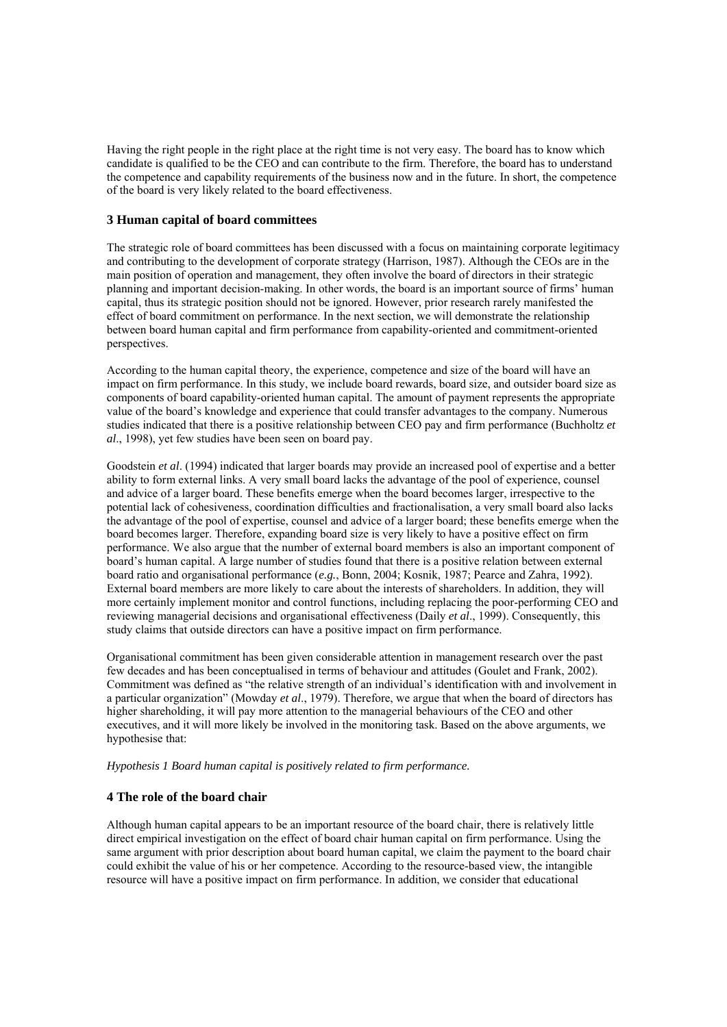Having the right people in the right place at the right time is not very easy. The board has to know which candidate is qualified to be the CEO and can contribute to the firm. Therefore, the board has to understand the competence and capability requirements of the business now and in the future. In short, the competence of the board is very likely related to the board effectiveness.

## **3 Human capital of board committees**

The strategic role of board committees has been discussed with a focus on maintaining corporate legitimacy and contributing to the development of corporate strategy (Harrison, 1987). Although the CEOs are in the main position of operation and management, they often involve the board of directors in their strategic planning and important decision-making. In other words, the board is an important source of firms' human capital, thus its strategic position should not be ignored. However, prior research rarely manifested the effect of board commitment on performance. In the next section, we will demonstrate the relationship between board human capital and firm performance from capability-oriented and commitment-oriented perspectives.

According to the human capital theory, the experience, competence and size of the board will have an impact on firm performance. In this study, we include board rewards, board size, and outsider board size as components of board capability-oriented human capital. The amount of payment represents the appropriate value of the board's knowledge and experience that could transfer advantages to the company. Numerous studies indicated that there is a positive relationship between CEO pay and firm performance (Buchholtz *et al*., 1998), yet few studies have been seen on board pay.

Goodstein *et al*. (1994) indicated that larger boards may provide an increased pool of expertise and a better ability to form external links. A very small board lacks the advantage of the pool of experience, counsel and advice of a larger board. These benefits emerge when the board becomes larger, irrespective to the potential lack of cohesiveness, coordination difficulties and fractionalisation, a very small board also lacks the advantage of the pool of expertise, counsel and advice of a larger board; these benefits emerge when the board becomes larger. Therefore, expanding board size is very likely to have a positive effect on firm performance. We also argue that the number of external board members is also an important component of board's human capital. A large number of studies found that there is a positive relation between external board ratio and organisational performance (*e.g.*, Bonn, 2004; Kosnik, 1987; Pearce and Zahra, 1992). External board members are more likely to care about the interests of shareholders. In addition, they will more certainly implement monitor and control functions, including replacing the poor-performing CEO and reviewing managerial decisions and organisational effectiveness (Daily *et al*., 1999). Consequently, this study claims that outside directors can have a positive impact on firm performance.

Organisational commitment has been given considerable attention in management research over the past few decades and has been conceptualised in terms of behaviour and attitudes (Goulet and Frank, 2002). Commitment was defined as "the relative strength of an individual's identification with and involvement in a particular organization" (Mowday *et al*., 1979). Therefore, we argue that when the board of directors has higher shareholding, it will pay more attention to the managerial behaviours of the CEO and other executives, and it will more likely be involved in the monitoring task. Based on the above arguments, we hypothesise that:

*Hypothesis 1 Board human capital is positively related to firm performance.*

## **4 The role of the board chair**

Although human capital appears to be an important resource of the board chair, there is relatively little direct empirical investigation on the effect of board chair human capital on firm performance. Using the same argument with prior description about board human capital, we claim the payment to the board chair could exhibit the value of his or her competence. According to the resource-based view, the intangible resource will have a positive impact on firm performance. In addition, we consider that educational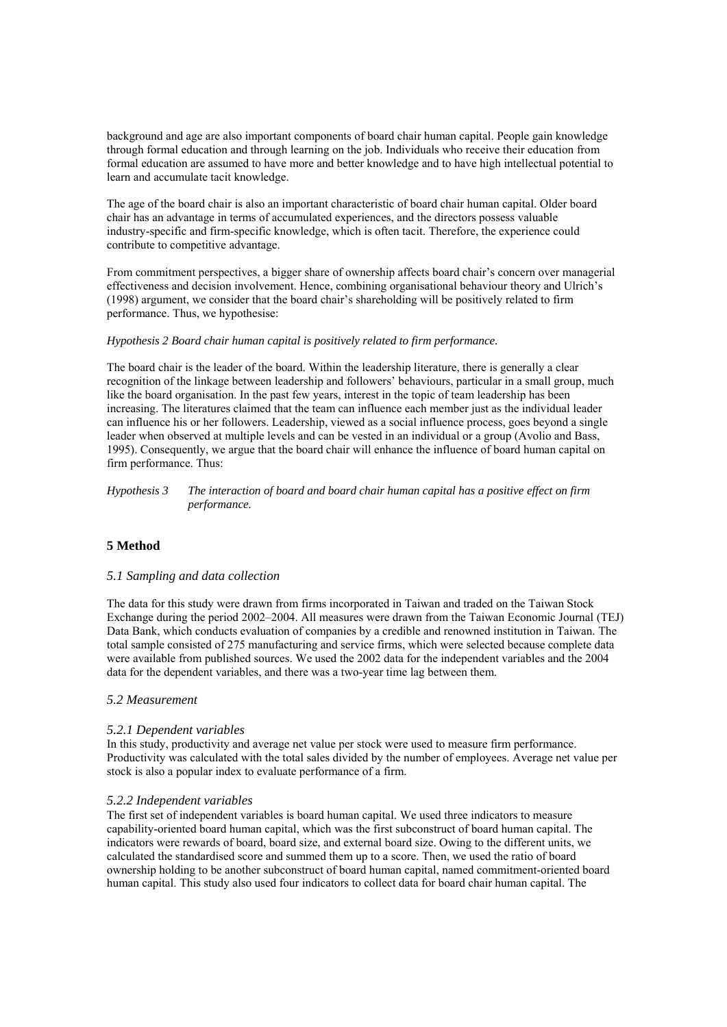background and age are also important components of board chair human capital. People gain knowledge through formal education and through learning on the job. Individuals who receive their education from formal education are assumed to have more and better knowledge and to have high intellectual potential to learn and accumulate tacit knowledge.

The age of the board chair is also an important characteristic of board chair human capital. Older board chair has an advantage in terms of accumulated experiences, and the directors possess valuable industry-specific and firm-specific knowledge, which is often tacit. Therefore, the experience could contribute to competitive advantage.

From commitment perspectives, a bigger share of ownership affects board chair's concern over managerial effectiveness and decision involvement. Hence, combining organisational behaviour theory and Ulrich's (1998) argument, we consider that the board chair's shareholding will be positively related to firm performance. Thus, we hypothesise:

## *Hypothesis 2 Board chair human capital is positively related to firm performance.*

The board chair is the leader of the board. Within the leadership literature, there is generally a clear recognition of the linkage between leadership and followers' behaviours, particular in a small group, much like the board organisation. In the past few years, interest in the topic of team leadership has been increasing. The literatures claimed that the team can influence each member just as the individual leader can influence his or her followers. Leadership, viewed as a social influence process, goes beyond a single leader when observed at multiple levels and can be vested in an individual or a group (Avolio and Bass, 1995). Consequently, we argue that the board chair will enhance the influence of board human capital on firm performance. Thus:

*Hypothesis 3 The interaction of board and board chair human capital has a positive effect on firm performance.*

# **5 Method**

# *5.1 Sampling and data collection*

The data for this study were drawn from firms incorporated in Taiwan and traded on the Taiwan Stock Exchange during the period 2002–2004. All measures were drawn from the Taiwan Economic Journal (TEJ) Data Bank, which conducts evaluation of companies by a credible and renowned institution in Taiwan. The total sample consisted of 275 manufacturing and service firms, which were selected because complete data were available from published sources. We used the 2002 data for the independent variables and the 2004 data for the dependent variables, and there was a two-year time lag between them.

#### *5.2 Measurement*

#### *5.2.1 Dependent variables*

In this study, productivity and average net value per stock were used to measure firm performance. Productivity was calculated with the total sales divided by the number of employees. Average net value per stock is also a popular index to evaluate performance of a firm.

#### *5.2.2 Independent variables*

The first set of independent variables is board human capital. We used three indicators to measure capability-oriented board human capital, which was the first subconstruct of board human capital. The indicators were rewards of board, board size, and external board size. Owing to the different units, we calculated the standardised score and summed them up to a score. Then, we used the ratio of board ownership holding to be another subconstruct of board human capital, named commitment-oriented board human capital. This study also used four indicators to collect data for board chair human capital. The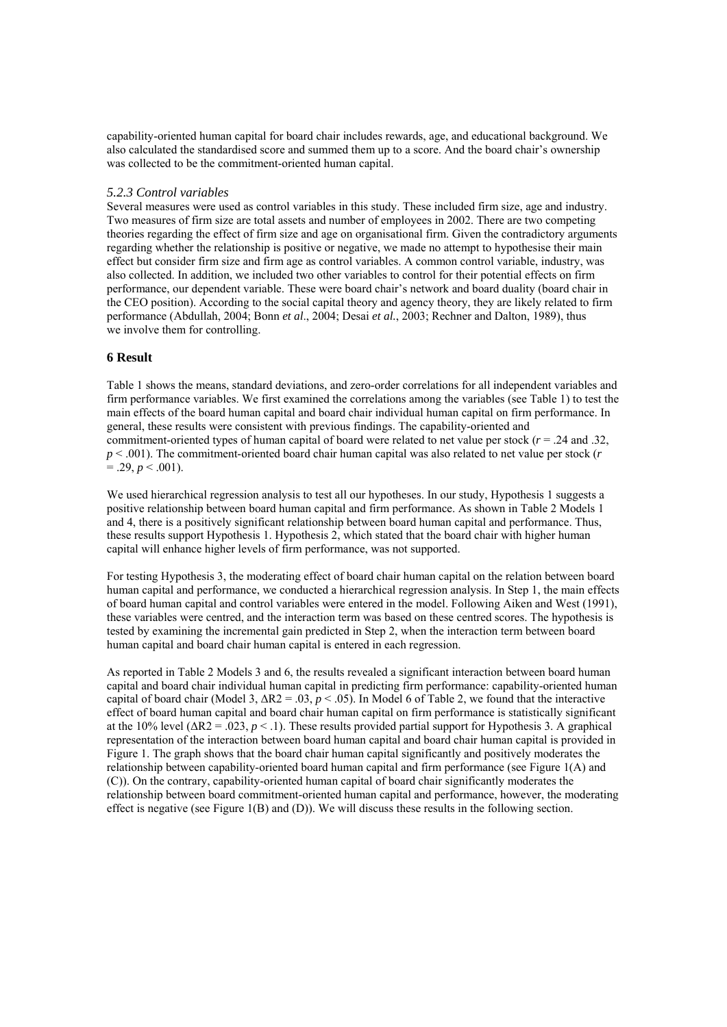capability-oriented human capital for board chair includes rewards, age, and educational background. We also calculated the standardised score and summed them up to a score. And the board chair's ownership was collected to be the commitment-oriented human capital.

## *5.2.3 Control variables*

Several measures were used as control variables in this study. These included firm size, age and industry. Two measures of firm size are total assets and number of employees in 2002. There are two competing theories regarding the effect of firm size and age on organisational firm. Given the contradictory arguments regarding whether the relationship is positive or negative, we made no attempt to hypothesise their main effect but consider firm size and firm age as control variables. A common control variable, industry, was also collected. In addition, we included two other variables to control for their potential effects on firm performance, our dependent variable. These were board chair's network and board duality (board chair in the CEO position). According to the social capital theory and agency theory, they are likely related to firm performance (Abdullah, 2004; Bonn *et al*., 2004; Desai *et al.*, 2003; Rechner and Dalton, 1989), thus we involve them for controlling.

## **6 Result**

Table 1 shows the means, standard deviations, and zero-order correlations for all independent variables and firm performance variables. We first examined the correlations among the variables (see Table 1) to test the main effects of the board human capital and board chair individual human capital on firm performance. In general, these results were consistent with previous findings. The capability-oriented and commitment-oriented types of human capital of board were related to net value per stock  $(r = .24$  and .32, *p* < .001). The commitment-oriented board chair human capital was also related to net value per stock (*r*   $= .29, p < .001$ ).

We used hierarchical regression analysis to test all our hypotheses. In our study, Hypothesis 1 suggests a positive relationship between board human capital and firm performance. As shown in Table 2 Models 1 and 4, there is a positively significant relationship between board human capital and performance. Thus, these results support Hypothesis 1. Hypothesis 2, which stated that the board chair with higher human capital will enhance higher levels of firm performance, was not supported.

For testing Hypothesis 3, the moderating effect of board chair human capital on the relation between board human capital and performance, we conducted a hierarchical regression analysis. In Step 1, the main effects of board human capital and control variables were entered in the model. Following Aiken and West (1991), these variables were centred, and the interaction term was based on these centred scores. The hypothesis is tested by examining the incremental gain predicted in Step 2, when the interaction term between board human capital and board chair human capital is entered in each regression.

As reported in Table 2 Models 3 and 6, the results revealed a significant interaction between board human capital and board chair individual human capital in predicting firm performance: capability-oriented human capital of board chair (Model 3,  $\Delta R2 = .03$ ,  $p < .05$ ). In Model 6 of Table 2, we found that the interactive effect of board human capital and board chair human capital on firm performance is statistically significant at the 10% level ( $\Delta R2 = .023$ ,  $p < .1$ ). These results provided partial support for Hypothesis 3. A graphical representation of the interaction between board human capital and board chair human capital is provided in Figure 1. The graph shows that the board chair human capital significantly and positively moderates the relationship between capability-oriented board human capital and firm performance (see Figure 1(A) and (C)). On the contrary, capability-oriented human capital of board chair significantly moderates the relationship between board commitment-oriented human capital and performance, however, the moderating effect is negative (see Figure 1(B) and  $(D)$ ). We will discuss these results in the following section.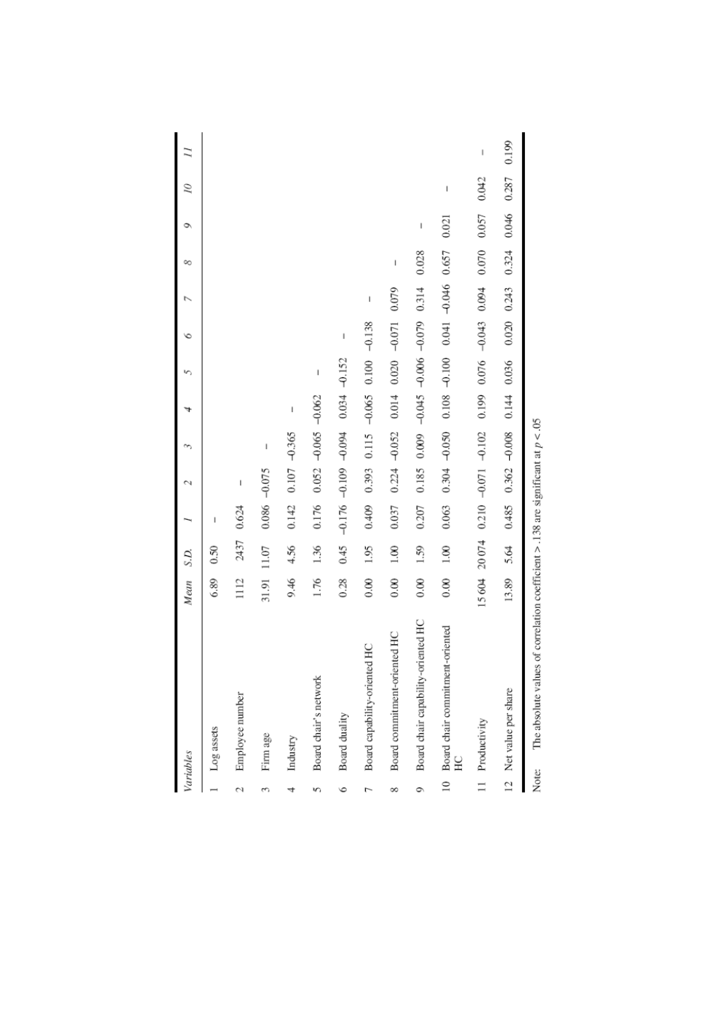|                 | Variables                                                                             | Mean  | S.D.    |                 |                          |                                    |                            |                                                                                                                                                                                                                                                                                                                                                                                  | ∘                               |             | ∞     |       | 2     |       |
|-----------------|---------------------------------------------------------------------------------------|-------|---------|-----------------|--------------------------|------------------------------------|----------------------------|----------------------------------------------------------------------------------------------------------------------------------------------------------------------------------------------------------------------------------------------------------------------------------------------------------------------------------------------------------------------------------|---------------------------------|-------------|-------|-------|-------|-------|
|                 | Log assets                                                                            | 6.89  | 0.50    | I               |                          |                                    |                            |                                                                                                                                                                                                                                                                                                                                                                                  |                                 |             |       |       |       |       |
| 2               | Employee number                                                                       | 1112  | 2437    | 0.624           | I                        |                                    |                            |                                                                                                                                                                                                                                                                                                                                                                                  |                                 |             |       |       |       |       |
| 3               | Firm age                                                                              | 31.91 | $11.07$ | $0.086 - 0.075$ |                          | I                                  |                            |                                                                                                                                                                                                                                                                                                                                                                                  |                                 |             |       |       |       |       |
| 4               | Industry                                                                              | 9.46  | 4.56    |                 | $0.142$ $0.107$ $-0.365$ |                                    | ı                          |                                                                                                                                                                                                                                                                                                                                                                                  |                                 |             |       |       |       |       |
| 5               | Board chair's network                                                                 | 1.76  | 1.36    |                 |                          | $0.176$ $0.052$ $-0.065$ $-0.062$  |                            | $\begin{array}{c} \rule{0pt}{2.5ex} \rule{0pt}{2.5ex} \rule{0pt}{2.5ex} \rule{0pt}{2.5ex} \rule{0pt}{2.5ex} \rule{0pt}{2.5ex} \rule{0pt}{2.5ex} \rule{0pt}{2.5ex} \rule{0pt}{2.5ex} \rule{0pt}{2.5ex} \rule{0pt}{2.5ex} \rule{0pt}{2.5ex} \rule{0pt}{2.5ex} \rule{0pt}{2.5ex} \rule{0pt}{2.5ex} \rule{0pt}{2.5ex} \rule{0pt}{2.5ex} \rule{0pt}{2.5ex} \rule{0pt}{2.5ex} \rule{0$ |                                 |             |       |       |       |       |
| $\circ$         | Board duality                                                                         | 0.28  |         |                 |                          | $0.45$ -0.176 -0.109 -0.094 -0.152 |                            |                                                                                                                                                                                                                                                                                                                                                                                  | I                               |             |       |       |       |       |
| L               | Board capability-oriented HC                                                          | 0.00  | 1.95    | 0.409           | 0.393                    | 0.115                              | $-0.065$                   | 0.100                                                                                                                                                                                                                                                                                                                                                                            | $-0.138$                        | I           |       |       |       |       |
| ∞               | Board commitment-oriented HC                                                          | 0.00  | 1.00    | 0.037           | $0.224 - 0.052$          |                                    | $0.014$ $0.020$ $-0.071$   |                                                                                                                                                                                                                                                                                                                                                                                  |                                 | 0.079       | ı     |       |       |       |
| $\circ$         | Board chair capability-oriented HC                                                    | 0.00  | 1.59    | 0.207           | 0.185 0.009              |                                    | $-0.045$ $-0.006$ $-0.079$ |                                                                                                                                                                                                                                                                                                                                                                                  |                                 | 0.314 0.028 |       | I     |       |       |
| $\overline{10}$ | Board chair commitment-oriented<br>Ξ                                                  | 0.00  | 1.00    | 0.063           |                          | $0.304 - 0.050$                    |                            |                                                                                                                                                                                                                                                                                                                                                                                  | 0.108 -0.100 0.041 -0.046 0.657 |             |       | 0.021 | I     |       |
|                 | 11 Productivity                                                                       |       |         |                 |                          |                                    |                            |                                                                                                                                                                                                                                                                                                                                                                                  |                                 |             |       | 0.057 | 0.042 | I     |
|                 | 12 Net value per share                                                                | 13.89 | 5.64    | 0.485           | $0.362 - 0.008$          |                                    |                            | 0.144 0.036                                                                                                                                                                                                                                                                                                                                                                      | $0.020$ $0.243$                 |             | 0.324 | 0.046 | 0.287 | 0.199 |
| Note:           | The absolute values of correlation coefficient $>$ .138 are significant at $p < 0.05$ |       |         |                 |                          |                                    |                            |                                                                                                                                                                                                                                                                                                                                                                                  |                                 |             |       |       |       |       |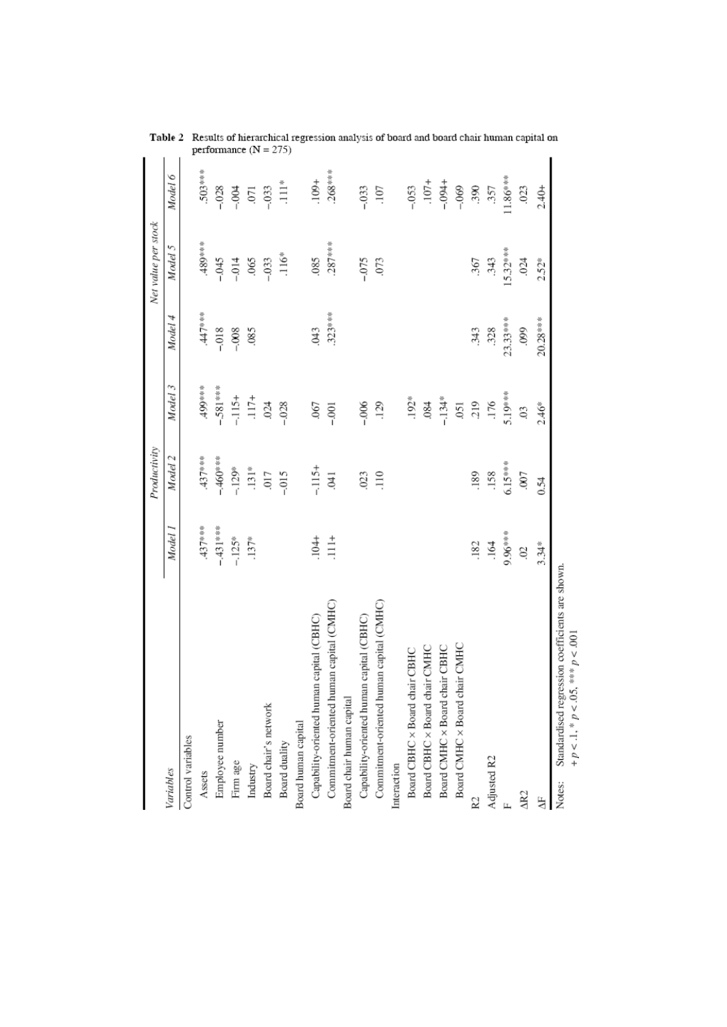|                   |                                                                                          |               | Productivity     |                |                | Net value per stock |            |
|-------------------|------------------------------------------------------------------------------------------|---------------|------------------|----------------|----------------|---------------------|------------|
| Variables         |                                                                                          | Model 1       | Model 2          | Model 3        | Model 4        | Model 5             | Model 6    |
| Control variables |                                                                                          |               |                  |                |                |                     |            |
| Assets            |                                                                                          | $.437***$     | 437***           | **** 667       | ****7#         | ****687             | $.503***$  |
|                   | Employee number                                                                          | $-431$ ***    | $-460***$        | $-581***$      | $-0.018$       | $-0.045$            | $-0.28$    |
| Firm age          |                                                                                          | $-.125*$      | $-129*$          | $-115+$        | $-.008$        | $-0.14$             | $-0.004$   |
| Industry          |                                                                                          | $.137*$       | $131*$           | $117+$         | .085           | .065                | .071       |
|                   | Board chair's network                                                                    |               | 017              | 024            |                | $-0.33$             | $-0.33$    |
|                   | Board duality                                                                            |               | $-015$           | $-0.28$        |                | $.116*$             | $\ddot{1}$ |
|                   | Board human capital                                                                      |               |                  |                |                |                     |            |
|                   | Capability-oriented human capital (CBHC)                                                 | $104 +$       | $-115+$          | .067           | 643            | 085                 | $.109+$    |
|                   | Commitment-oriented human capital (CMHC)                                                 | $\frac{1}{2}$ | E,               | $-0.001$       | $.323***$      | $.287***$           | $.268***$  |
|                   | Board chair human capital                                                                |               |                  |                |                |                     |            |
|                   | Capability-oriented human capital (CBHC)                                                 |               | .023             | $-0.006$       |                | $-0.75$             | $-0.33$    |
|                   | Commitment-oriented human capital (CMHC)                                                 |               | $\overline{110}$ | 129            |                | .073                | 107        |
| Interaction       |                                                                                          |               |                  |                |                |                     |            |
|                   | Board CBHC × Board chair CBHC                                                            |               |                  | $.192*$        |                |                     | $-0.53$    |
|                   | Board CBHC x Board chair CMHC                                                            |               |                  | 084            |                |                     | $.107 +$   |
|                   | Board CMHC x Board chair CBHC                                                            |               |                  | $-134*$        |                |                     | $+100 -$   |
|                   | Board CMHC x Board chair CMHC                                                            |               |                  | 051            |                |                     | $-069$     |
| R2                |                                                                                          | .182          | .189             | 219            | 343            | .367                | .390       |
| Adjusted R2       |                                                                                          | .164          | .158             | .176           | .328           | .343                | .357       |
|                   |                                                                                          | $9.96***$     | $6.15***$        | 5.19***        | $23.33***$     | $15.32***$          | $11.86***$ |
| ΔR <sub>2</sub>   |                                                                                          | S             | 607              | $\mathfrak{S}$ | $\frac{60}{2}$ | .024                | .023       |
| ₹                 |                                                                                          | $3.34*$       | 0.54             | $2.46*$        | 20.28***       | $2.52*$             | $2.40+$    |
| Notes:            | Standardised regression coefficients are shown.<br>.05, *** $p < 001$<br>$+p < 1, * p <$ |               |                  |                |                |                     |            |

Table 2 Results of hierarchical regression analysis of board and board chair human capital on performance  $(N = 275)$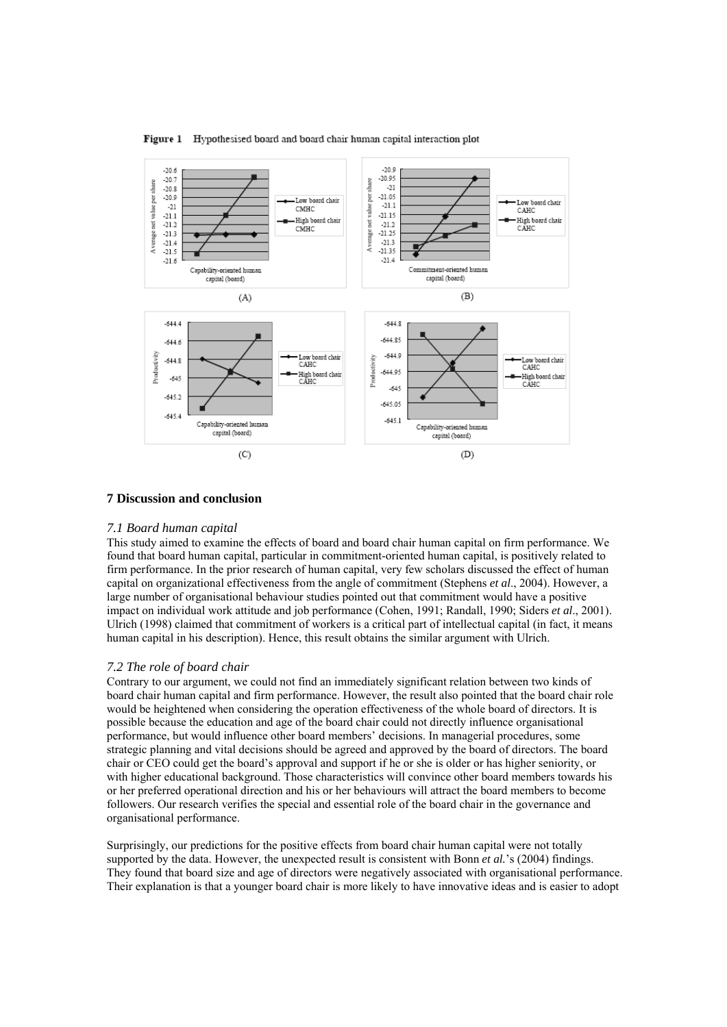

#### Figure 1 Hypothesised board and board chair human capital interaction plot

#### **7 Discussion and conclusion**

#### *7.1 Board human capital*

This study aimed to examine the effects of board and board chair human capital on firm performance. We found that board human capital, particular in commitment-oriented human capital, is positively related to firm performance. In the prior research of human capital, very few scholars discussed the effect of human capital on organizational effectiveness from the angle of commitment (Stephens *et al*., 2004). However, a large number of organisational behaviour studies pointed out that commitment would have a positive impact on individual work attitude and job performance (Cohen, 1991; Randall, 1990; Siders *et al*., 2001). Ulrich (1998) claimed that commitment of workers is a critical part of intellectual capital (in fact, it means human capital in his description). Hence, this result obtains the similar argument with Ulrich.

#### *7.2 The role of board chair*

Contrary to our argument, we could not find an immediately significant relation between two kinds of board chair human capital and firm performance. However, the result also pointed that the board chair role would be heightened when considering the operation effectiveness of the whole board of directors. It is possible because the education and age of the board chair could not directly influence organisational performance, but would influence other board members' decisions. In managerial procedures, some strategic planning and vital decisions should be agreed and approved by the board of directors. The board chair or CEO could get the board's approval and support if he or she is older or has higher seniority, or with higher educational background. Those characteristics will convince other board members towards his or her preferred operational direction and his or her behaviours will attract the board members to become followers. Our research verifies the special and essential role of the board chair in the governance and organisational performance.

Surprisingly, our predictions for the positive effects from board chair human capital were not totally supported by the data. However, the unexpected result is consistent with Bonn *et al.*'s (2004) findings. They found that board size and age of directors were negatively associated with organisational performance. Their explanation is that a younger board chair is more likely to have innovative ideas and is easier to adopt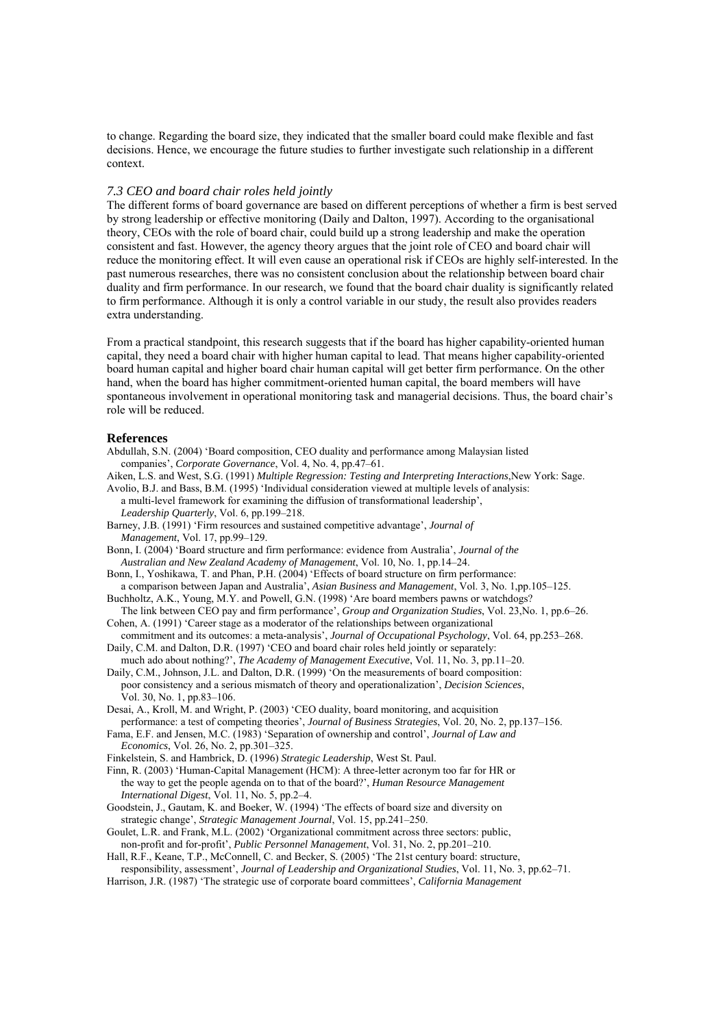to change. Regarding the board size, they indicated that the smaller board could make flexible and fast decisions. Hence, we encourage the future studies to further investigate such relationship in a different context.

#### *7.3 CEO and board chair roles held jointly*

The different forms of board governance are based on different perceptions of whether a firm is best served by strong leadership or effective monitoring (Daily and Dalton, 1997). According to the organisational theory, CEOs with the role of board chair, could build up a strong leadership and make the operation consistent and fast. However, the agency theory argues that the joint role of CEO and board chair will reduce the monitoring effect. It will even cause an operational risk if CEOs are highly self-interested. In the past numerous researches, there was no consistent conclusion about the relationship between board chair duality and firm performance. In our research, we found that the board chair duality is significantly related to firm performance. Although it is only a control variable in our study, the result also provides readers extra understanding.

From a practical standpoint, this research suggests that if the board has higher capability-oriented human capital, they need a board chair with higher human capital to lead. That means higher capability-oriented board human capital and higher board chair human capital will get better firm performance. On the other hand, when the board has higher commitment-oriented human capital, the board members will have spontaneous involvement in operational monitoring task and managerial decisions. Thus, the board chair's role will be reduced.

#### **References**

Abdullah, S.N. (2004) 'Board composition, CEO duality and performance among Malaysian listed companies', *Corporate Governance*, Vol. 4, No. 4, pp.47–61.

Aiken, L.S. and West, S.G. (1991) *Multiple Regression: Testing and Interpreting Interactions*,New York: Sage. Avolio, B.J. and Bass, B.M. (1995) 'Individual consideration viewed at multiple levels of analysis:

- a multi-level framework for examining the diffusion of transformational leadership', *Leadership Quarterly*, Vol. 6, pp.199–218.
- Barney, J.B. (1991) 'Firm resources and sustained competitive advantage', *Journal of Management*, Vol. 17, pp.99–129.
- Bonn, I. (2004) 'Board structure and firm performance: evidence from Australia', *Journal of the Australian and New Zealand Academy of Management*, Vol. 10, No. 1, pp.14–24.

Bonn, I., Yoshikawa, T. and Phan, P.H. (2004) 'Effects of board structure on firm performance:

a comparison between Japan and Australia', *Asian Business and Management*, Vol. 3, No. 1,pp.105–125. Buchholtz, A.K., Young, M.Y. and Powell, G.N. (1998) 'Are board members pawns or watchdogs?

- The link between CEO pay and firm performance', *Group and Organization Studies*, Vol. 23,No. 1, pp.6–26. Cohen, A. (1991) 'Career stage as a moderator of the relationships between organizational
- commitment and its outcomes: a meta-analysis', *Journal of Occupational Psychology*, Vol. 64, pp.253–268. Daily, C.M. and Dalton, D.R. (1997) 'CEO and board chair roles held jointly or separately:

much ado about nothing?', *The Academy of Management Executive*, Vol. 11, No. 3, pp.11–20. Daily, C.M., Johnson, J.L. and Dalton, D.R. (1999) 'On the measurements of board composition:

poor consistency and a serious mismatch of theory and operationalization', *Decision Sciences*, Vol. 30, No. 1, pp.83–106.

Desai, A., Kroll, M. and Wright, P. (2003) 'CEO duality, board monitoring, and acquisition performance: a test of competing theories', *Journal of Business Strategies*, Vol. 20, No. 2, pp.137–156.

Fama, E.F. and Jensen, M.C. (1983) 'Separation of ownership and control', *Journal of Law and Economics*, Vol. 26, No. 2, pp.301–325.

- Finkelstein, S. and Hambrick, D. (1996) *Strategic Leadership*, West St. Paul.
- Finn, R. (2003) 'Human-Capital Management (HCM): A three-letter acronym too far for HR or the way to get the people agenda on to that of the board?', *Human Resource Management International Digest*, Vol. 11, No. 5, pp.2–4.
- Goodstein, J., Gautam, K. and Boeker, W. (1994) 'The effects of board size and diversity on strategic change', *Strategic Management Journal*, Vol. 15, pp.241–250.

Goulet, L.R. and Frank, M.L. (2002) 'Organizational commitment across three sectors: public, non-profit and for-profit', *Public Personnel Management*, Vol. 31, No. 2, pp.201–210.

Hall, R.F., Keane, T.P., McConnell, C. and Becker, S. (2005) 'The 21st century board: structure, responsibility, assessment', *Journal of Leadership and Organizational Studies*, Vol. 11, No. 3, pp.62–71.

Harrison, J.R. (1987) 'The strategic use of corporate board committees', *California Management*